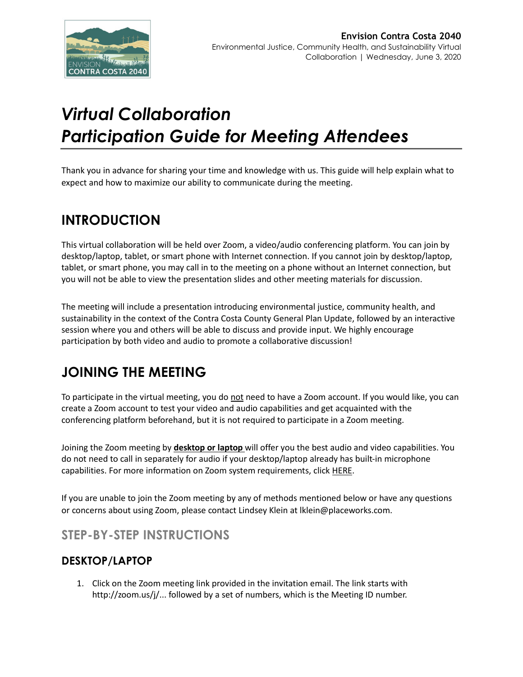

# *Virtual Collaboration Participation Guide for Meeting Attendees*

Thank you in advance for sharing your time and knowledge with us. This guide will help explain what to expect and how to maximize our ability to communicate during the meeting.

### **INTRODUCTION**

This virtual collaboration will be held over [Zoom,](http://www.zoom.us/) a video/audio conferencing platform. You can join by desktop/laptop, tablet, or smart phone with Internet connection. If you cannot join by desktop/laptop, tablet, or smart phone, you may call in to the meeting on a phone without an Internet connection, but you will not be able to view the presentation slides and other meeting materials for discussion.

The meeting will include a presentation introducing environmental justice, community health, and sustainability in the context of the Contra Costa County General Plan Update, followed by an interactive session where you and others will be able to discuss and provide input. We highly encourage participation by both video and audio to promote a collaborative discussion!

## **JOINING THE MEETING**

To participate in the virtual meeting, you do not need to have a Zoom account. If you would like, you can create a Zoom account to test your video and audio capabilities and get acquainted with the conferencing platform beforehand, but it is not required to participate in a Zoom meeting.

Joining the Zoom meeting by **desktop or laptop** will offer you the best audio and video capabilities. You do not need to call in separately for audio if your desktop/laptop already has built-in microphone capabilities. For more information on Zoom system requirements, click [HERE.](https://support.zoom.us/hc/en-us/articles/201362023---System---Requirements---for---PC---and---Mac)

If you are unable to join the Zoom meeting by any of methods mentioned below or have any questions or concerns about using Zoom, please contact Lindsey Klein at [lklein@placeworks.com.](mailto:lklein@placeworks.com)

### **STEP-BY-STEP INSTRUCTIONS**

#### **DESKTOP/LAPTOP**

1. Click on the Zoom meeting link provided in the invitation email. The link starts with [http://zoom.us/j/.](http://zoom.us/j/).. followed by a set of numbers, which is the Meeting ID number.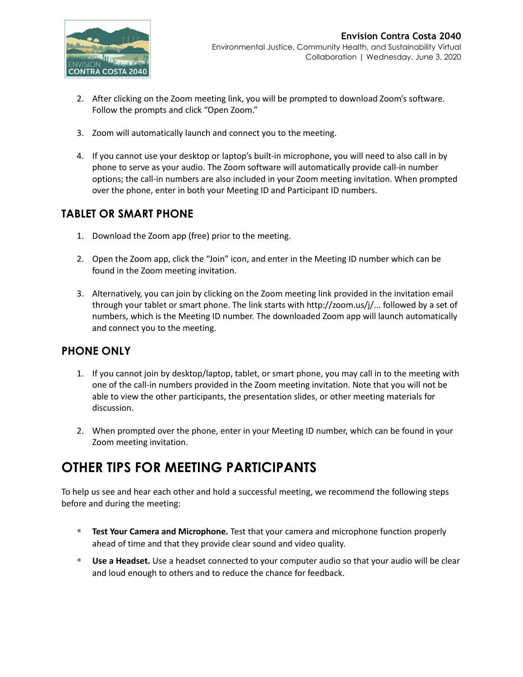

- 2. After clicking on the Zoom meeting link, you will be prompted to download Zoom's software. Follow the prompts and click "Open Zoom."
- 3. Zoom will automatically launch and connect you to the meeting.
- 4. If you cannot use your desktop or laptop's built-in microphone, you will need to also call in by phone to serve as your audio. The Zoom software will automatically provide call-in number options; the call-in numbers are also included in your Zoom meeting invitation. When prompted over the phone, enter in both your Meeting ID and Participant ID numbers.

#### **TABLET OR SMART PHONE**

- 1. Download the Zoom app (free) prior to the meeting.
- 2. Open the Zoom app, click the "Join" icon, and enter in the Meeting ID number which can be found in the Zoom meeting invitation.
- 3. Alternatively, you can join by clicking on the Zoom meeting link provided in the invitation email through your tablet or smart phone. The link starts with [http://zoom.us/j/.](http://zoom.us/j/).. followed by a set of numbers, which is the Meeting ID number. The downloaded Zoom app will launch automatically and connect you to the meeting.

#### **PHONE ONLY**

- 1. If you cannot join by desktop/laptop, tablet, or smart phone, you may call in to the meeting with one of the call-in numbers provided in the Zoom meeting invitation. Note that you will not be able to view the other participants, the presentation slides, or other meeting materials for discussion.
- 2. When prompted over the phone, enter in your Meeting ID number, which can be found in your Zoom meeting invitation.

### **OTHER TIPS FOR MEETING PARTICIPANTS**

To help us see and hear each other and hold a successful meeting, we recommend the following steps before and during the meeting:

- **Test Your Camera and Microphone.** Test that your camera and microphone function properly ahead of time and that they provide clear sound and video quality.
- **Use a Headset.** Use a headset connected to your computer audio so that your audio will be clear and loud enough to others and to reduce the chance for feedback.